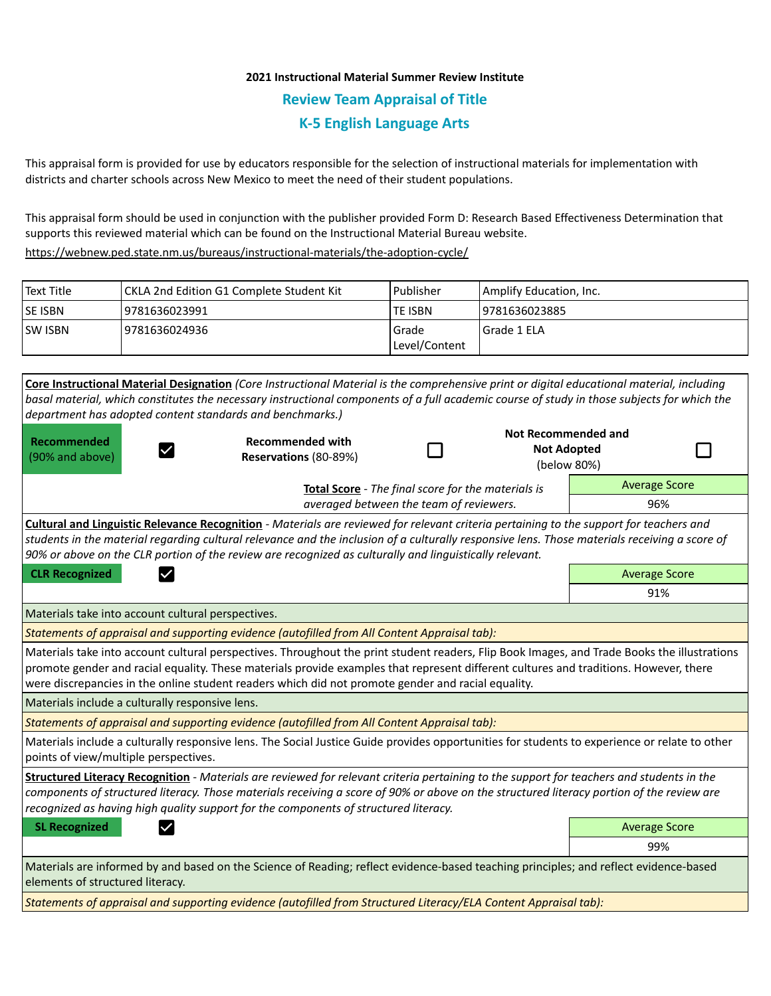# **2021 Instructional Material Summer Review Institute Review Team Appraisal of Title K-5 English Language Arts**

This appraisal form is provided for use by educators responsible for the selection of instructional materials for implementation with districts and charter schools across New Mexico to meet the need of their student populations.

This appraisal form should be used in conjunction with the publisher provided Form D: Research Based Effectiveness Determination that supports this reviewed material which can be found on the Instructional Material Bureau website.

<https://webnew.ped.state.nm.us/bureaus/instructional-materials/the-adoption-cycle/>

| Text Title     | CKLA 2nd Edition G1 Complete Student Kit | Publisher              | Amplify Education, Inc. |
|----------------|------------------------------------------|------------------------|-------------------------|
| <b>SE ISBN</b> | 9781636023991                            | <b>TE ISBN</b>         | 9781636023885           |
| <b>SW ISBN</b> | 9781636024936                            | Grade<br>Level/Content | Grade 1 ELA             |

**Core Instructional Material Designation** *(Core Instructional Material is the comprehensive print or digital educational material, including basal material, which constitutes the necessary instructional components of a full academic course of study in those subjects for which the department has adopted content standards and benchmarks.)* **Not Recommended and Recommended Recommended with**  П П **Not Adopted**   $\checkmark$ (90% and above) **Reservations** (80-89%) (below 80%) Average Score **Total Score** - *The final score for the materials is averaged between the team of reviewers.* 96% **Cultural and Linguistic Relevance Recognition** - *Materials are reviewed for relevant criteria pertaining to the support for teachers and students in the material regarding cultural relevance and the inclusion of a culturally responsive lens. Those materials receiving a score of 90% or above on the CLR portion of the review are recognized as culturally and linguistically relevant.* **CLR Recognized Average Score Average Score Average Score Average Score Average Score** 91% Materials take into account cultural perspectives. *Statements of appraisal and supporting evidence (autofilled from All Content Appraisal tab):*  Materials take into account cultural perspectives. Throughout the print student readers, Flip Book Images, and Trade Books the illustrations promote gender and racial equality. These materials provide examples that represent different cultures and traditions. However, there were discrepancies in the online student readers which did not promote gender and racial equality. Materials include a culturally responsive lens. *Statements of appraisal and supporting evidence (autofilled from All Content Appraisal tab):*  Materials include a culturally responsive lens. The Social Justice Guide provides opportunities for students to experience or relate to other points of view/multiple perspectives. **Structured Literacy Recognition** - *Materials are reviewed for relevant criteria pertaining to the support for teachers and students in the components of structured literacy. Those materials receiving a score of 90% or above on the structured literacy portion of the review are recognized as having high quality support for the components of structured literacy.* **SL Recognized Average Score** Average Score and Average Score and Average Score and Average Score and Average Score 99% Materials are informed by and based on the Science of Reading; reflect evidence-based teaching principles; and reflect evidence-based elements of structured literacy.

*Statements of appraisal and supporting evidence (autofilled from Structured Literacy/ELA Content Appraisal tab):*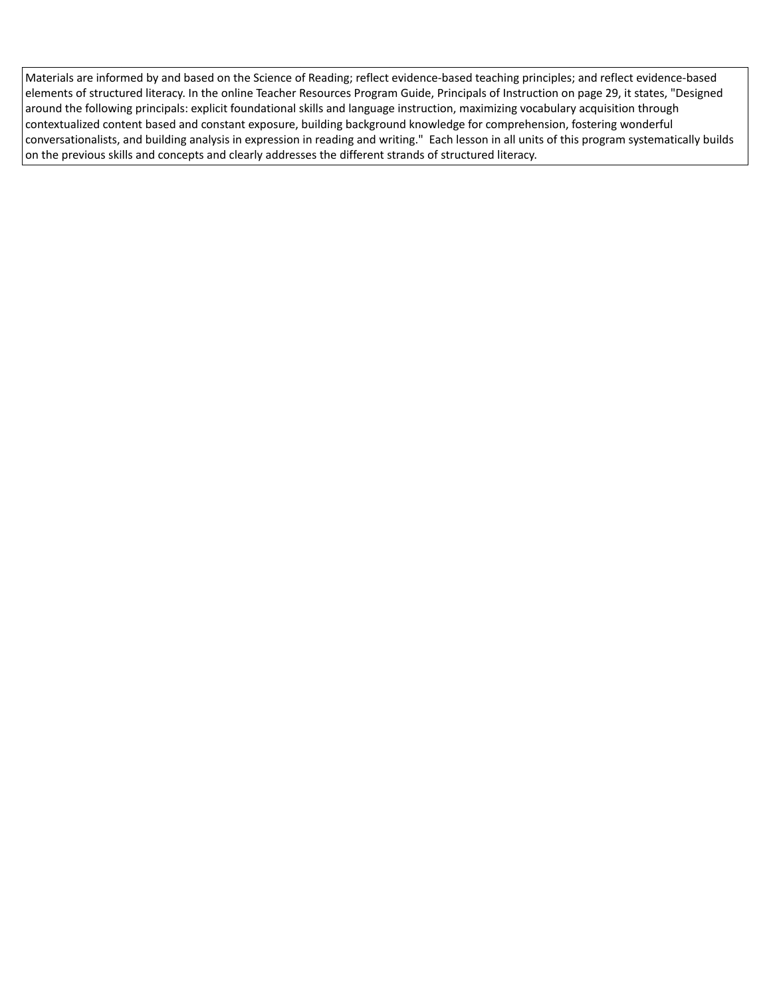Materials are informed by and based on the Science of Reading; reflect evidence-based teaching principles; and reflect evidence-based elements of structured literacy. In the online Teacher Resources Program Guide, Principals of Instruction on page 29, it states, "Designed around the following principals: explicit foundational skills and language instruction, maximizing vocabulary acquisition through contextualized content based and constant exposure, building background knowledge for comprehension, fostering wonderful conversationalists, and building analysis in expression in reading and writing." Each lesson in all units of this program systematically builds on the previous skills and concepts and clearly addresses the different strands of structured literacy.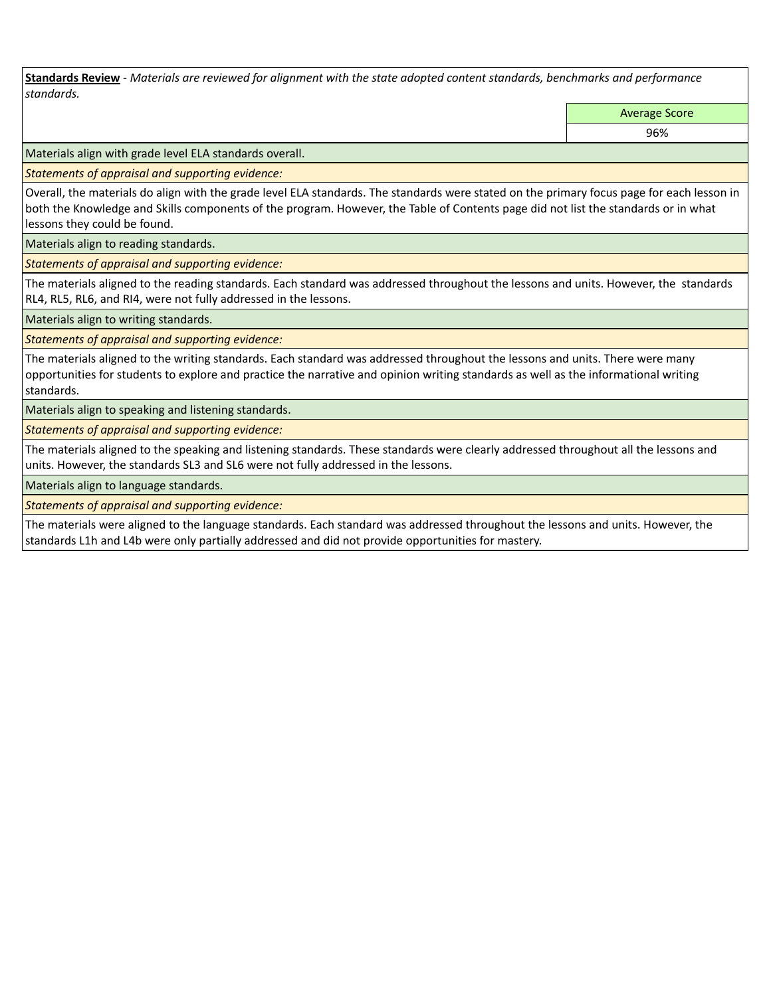**Standards Review** *- Materials are reviewed for alignment with the state adopted content standards, benchmarks and performance standards.*

Average Score

96%

Materials align with grade level ELA standards overall.

*Statements of appraisal and supporting evidence:* 

Overall, the materials do align with the grade level ELA standards. The standards were stated on the primary focus page for each lesson in both the Knowledge and Skills components of the program. However, the Table of Contents page did not list the standards or in what lessons they could be found.

Materials align to reading standards.

*Statements of appraisal and supporting evidence:* 

The materials aligned to the reading standards. Each standard was addressed throughout the lessons and units. However, the standards RL4, RL5, RL6, and RI4, were not fully addressed in the lessons.

Materials align to writing standards.

*Statements of appraisal and supporting evidence:* 

The materials aligned to the writing standards. Each standard was addressed throughout the lessons and units. There were many opportunities for students to explore and practice the narrative and opinion writing standards as well as the informational writing standards.

Materials align to speaking and listening standards.

*Statements of appraisal and supporting evidence:* 

The materials aligned to the speaking and listening standards. These standards were clearly addressed throughout all the lessons and units. However, the standards SL3 and SL6 were not fully addressed in the lessons.

Materials align to language standards.

*Statements of appraisal and supporting evidence:* 

The materials were aligned to the language standards. Each standard was addressed throughout the lessons and units. However, the standards L1h and L4b were only partially addressed and did not provide opportunities for mastery.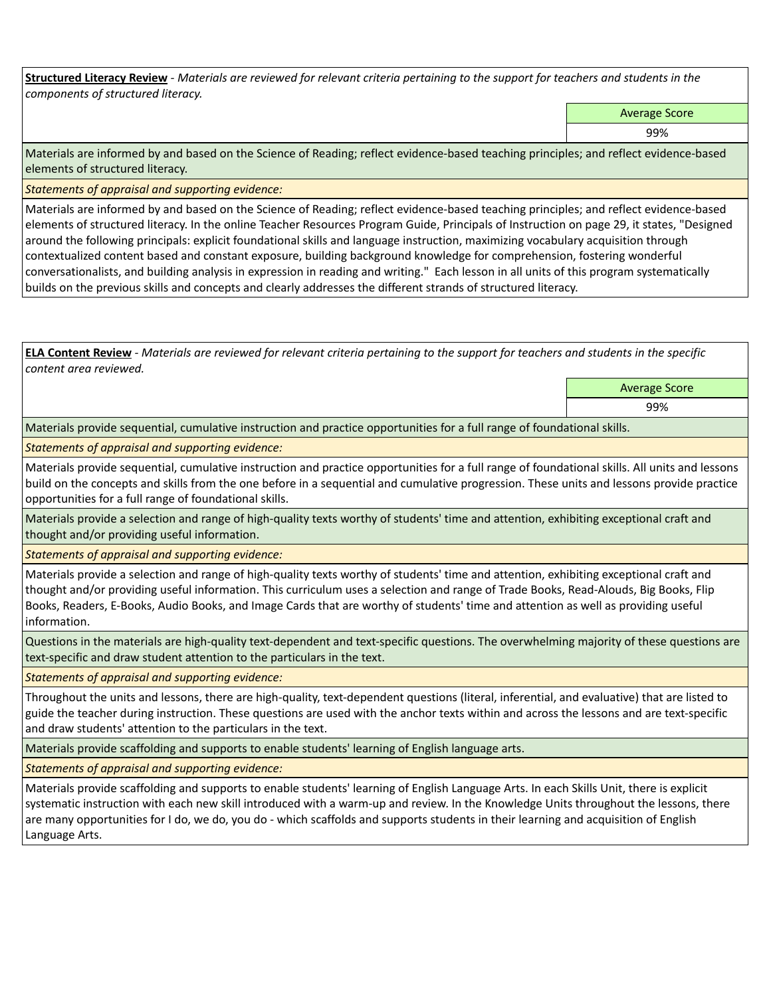**Structured Literacy Review** *- Materials are reviewed for relevant criteria pertaining to the support for teachers and students in the components of structured literacy.*

Average Score

99%

Materials are informed by and based on the Science of Reading; reflect evidence-based teaching principles; and reflect evidence-based elements of structured literacy.

*Statements of appraisal and supporting evidence:*

Materials are informed by and based on the Science of Reading; reflect evidence-based teaching principles; and reflect evidence-based elements of structured literacy. In the online Teacher Resources Program Guide, Principals of Instruction on page 29, it states, "Designed around the following principals: explicit foundational skills and language instruction, maximizing vocabulary acquisition through contextualized content based and constant exposure, building background knowledge for comprehension, fostering wonderful conversationalists, and building analysis in expression in reading and writing." Each lesson in all units of this program systematically builds on the previous skills and concepts and clearly addresses the different strands of structured literacy.

**ELA Content Review** *- Materials are reviewed for relevant criteria pertaining to the support for teachers and students in the specific content area reviewed.*

> Average Score 99%

Materials provide sequential, cumulative instruction and practice opportunities for a full range of foundational skills.

*Statements of appraisal and supporting evidence:* 

Materials provide sequential, cumulative instruction and practice opportunities for a full range of foundational skills. All units and lessons build on the concepts and skills from the one before in a sequential and cumulative progression. These units and lessons provide practice opportunities for a full range of foundational skills.

Materials provide a selection and range of high-quality texts worthy of students' time and attention, exhibiting exceptional craft and thought and/or providing useful information.

*Statements of appraisal and supporting evidence:* 

Materials provide a selection and range of high-quality texts worthy of students' time and attention, exhibiting exceptional craft and thought and/or providing useful information. This curriculum uses a selection and range of Trade Books, Read-Alouds, Big Books, Flip Books, Readers, E-Books, Audio Books, and Image Cards that are worthy of students' time and attention as well as providing useful information.

Questions in the materials are high-quality text-dependent and text-specific questions. The overwhelming majority of these questions are text-specific and draw student attention to the particulars in the text.

*Statements of appraisal and supporting evidence:* 

Throughout the units and lessons, there are high-quality, text-dependent questions (literal, inferential, and evaluative) that are listed to guide the teacher during instruction. These questions are used with the anchor texts within and across the lessons and are text-specific and draw students' attention to the particulars in the text.

Materials provide scaffolding and supports to enable students' learning of English language arts.

*Statements of appraisal and supporting evidence:* 

Materials provide scaffolding and supports to enable students' learning of English Language Arts. In each Skills Unit, there is explicit systematic instruction with each new skill introduced with a warm-up and review. In the Knowledge Units throughout the lessons, there are many opportunities for I do, we do, you do - which scaffolds and supports students in their learning and acquisition of English Language Arts.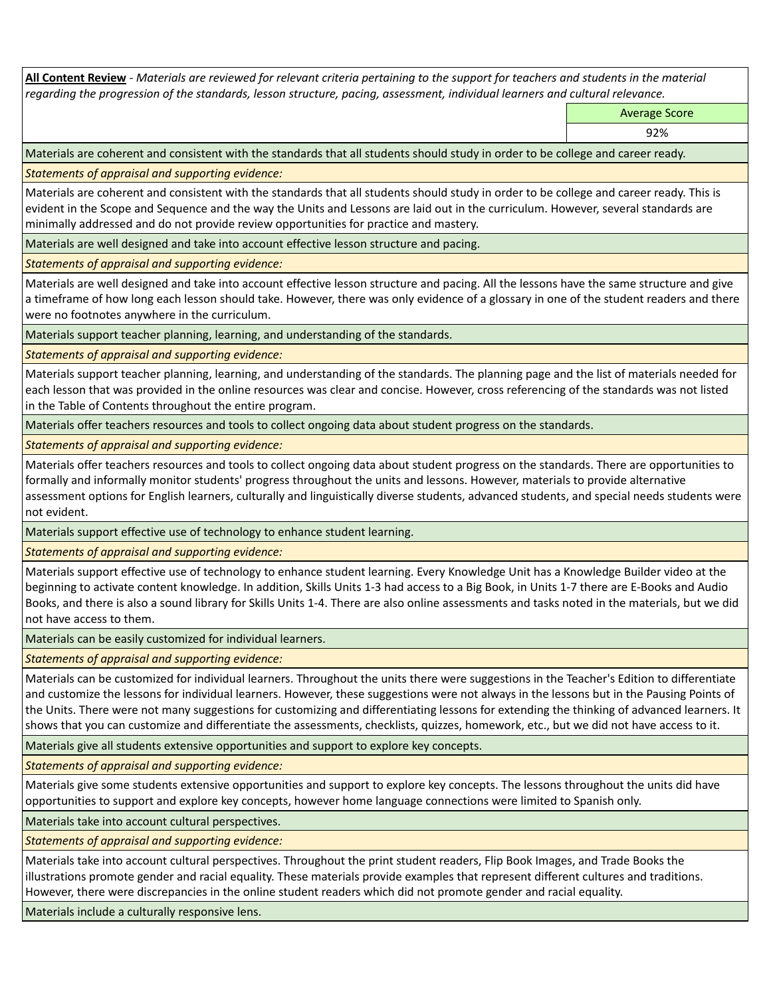**All Content Review** *- Materials are reviewed for relevant criteria pertaining to the support for teachers and students in the material regarding the progression of the standards, lesson structure, pacing, assessment, individual learners and cultural relevance.*

Average Score

92%

Materials are coherent and consistent with the standards that all students should study in order to be college and career ready.

*Statements of appraisal and supporting evidence:*

Materials are coherent and consistent with the standards that all students should study in order to be college and career ready. This is evident in the Scope and Sequence and the way the Units and Lessons are laid out in the curriculum. However, several standards are minimally addressed and do not provide review opportunities for practice and mastery.

Materials are well designed and take into account effective lesson structure and pacing.

*Statements of appraisal and supporting evidence:*

Materials are well designed and take into account effective lesson structure and pacing. All the lessons have the same structure and give a timeframe of how long each lesson should take. However, there was only evidence of a glossary in one of the student readers and there were no footnotes anywhere in the curriculum.

Materials support teacher planning, learning, and understanding of the standards.

*Statements of appraisal and supporting evidence:*

Materials support teacher planning, learning, and understanding of the standards. The planning page and the list of materials needed for each lesson that was provided in the online resources was clear and concise. However, cross referencing of the standards was not listed in the Table of Contents throughout the entire program.

Materials offer teachers resources and tools to collect ongoing data about student progress on the standards.

*Statements of appraisal and supporting evidence:*

Materials offer teachers resources and tools to collect ongoing data about student progress on the standards. There are opportunities to formally and informally monitor students' progress throughout the units and lessons. However, materials to provide alternative assessment options for English learners, culturally and linguistically diverse students, advanced students, and special needs students were not evident.

Materials support effective use of technology to enhance student learning.

*Statements of appraisal and supporting evidence:*

Materials support effective use of technology to enhance student learning. Every Knowledge Unit has a Knowledge Builder video at the beginning to activate content knowledge. In addition, Skills Units 1-3 had access to a Big Book, in Units 1-7 there are E-Books and Audio Books, and there is also a sound library for Skills Units 1-4. There are also online assessments and tasks noted in the materials, but we did not have access to them.

Materials can be easily customized for individual learners.

*Statements of appraisal and supporting evidence:* 

Materials can be customized for individual learners. Throughout the units there were suggestions in the Teacher's Edition to differentiate and customize the lessons for individual learners. However, these suggestions were not always in the lessons but in the Pausing Points of the Units. There were not many suggestions for customizing and differentiating lessons for extending the thinking of advanced learners. It shows that you can customize and differentiate the assessments, checklists, quizzes, homework, etc., but we did not have access to it.

Materials give all students extensive opportunities and support to explore key concepts.

*Statements of appraisal and supporting evidence:*

Materials give some students extensive opportunities and support to explore key concepts. The lessons throughout the units did have opportunities to support and explore key concepts, however home language connections were limited to Spanish only.

Materials take into account cultural perspectives.

*Statements of appraisal and supporting evidence:*

Materials take into account cultural perspectives. Throughout the print student readers, Flip Book Images, and Trade Books the illustrations promote gender and racial equality. These materials provide examples that represent different cultures and traditions. However, there were discrepancies in the online student readers which did not promote gender and racial equality.

Materials include a culturally responsive lens.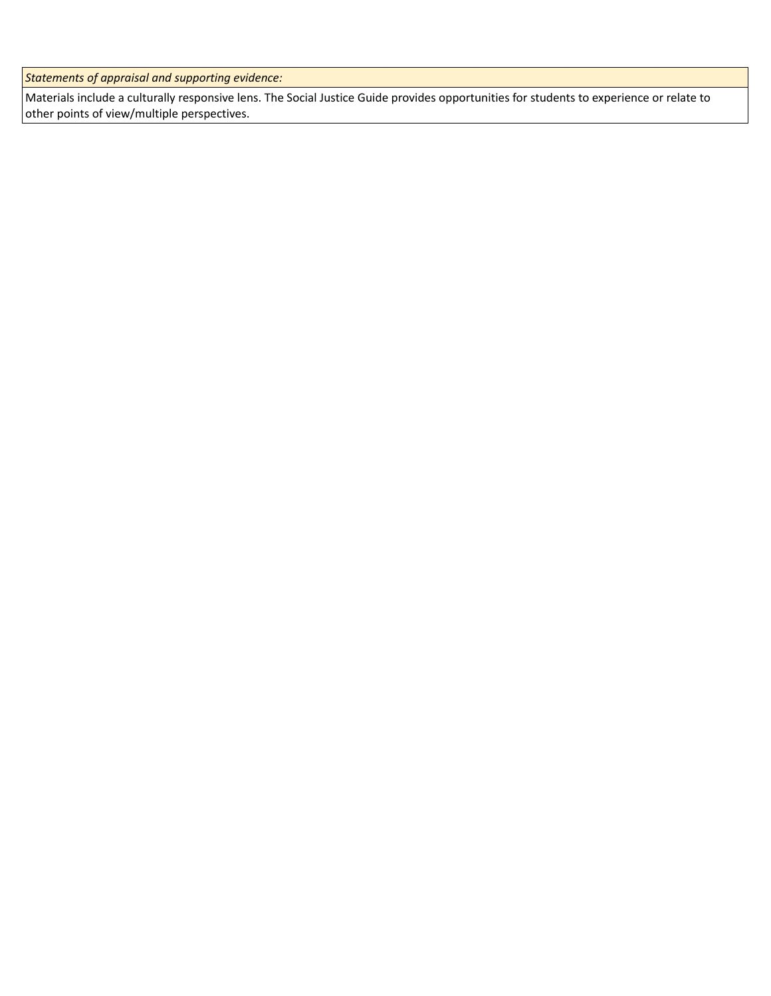*Statements of appraisal and supporting evidence:*

Materials include a culturally responsive lens. The Social Justice Guide provides opportunities for students to experience or relate to other points of view/multiple perspectives.